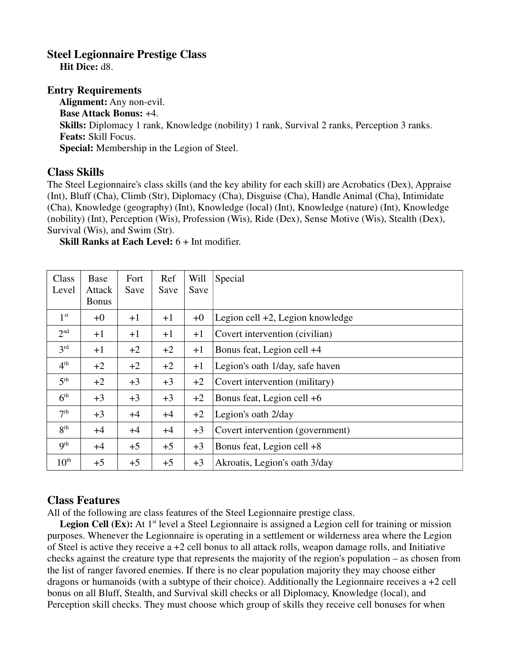## **Steel Legionnaire Prestige Class**

 **Hit Dice:** d8.

## **Entry Requirements**

 **Alignment:** Any non-evil. **Base Attack Bonus:** +4. **Skills:** Diplomacy 1 rank, Knowledge (nobility) 1 rank, Survival 2 ranks, Perception 3 ranks. **Feats:** Skill Focus. **Special:** Membership in the Legion of Steel.

## **Class Skills**

The Steel Legionnaire's class skills (and the key ability for each skill) are Acrobatics (Dex), Appraise (Int), Bluff (Cha), Climb (Str), Diplomacy (Cha), Disguise (Cha), Handle Animal (Cha), Intimidate (Cha), Knowledge (geography) (Int), Knowledge (local) (Int), Knowledge (nature) (Int), Knowledge (nobility) (Int), Perception (Wis), Profession (Wis), Ride (Dex), Sense Motive (Wis), Stealth (Dex), Survival (Wis), and Swim (Str).

**Skill Ranks at Each Level:** 6 + Int modifier.

| Class<br>Level   | Base<br>Attack<br><b>Bonus</b> | Fort<br>Save | Ref<br>Save | Will<br>Save | Special                             |
|------------------|--------------------------------|--------------|-------------|--------------|-------------------------------------|
| 1 <sup>st</sup>  | $+0$                           | $+1$         | $+1$        | $+0$         | Legion cell $+2$ , Legion knowledge |
| 2 <sup>nd</sup>  | $+1$                           | $+1$         | $+1$        | $+1$         | Covert intervention (civilian)      |
| 3 <sup>rd</sup>  | $+1$                           | $+2$         | $+2$        | $+1$         | Bonus feat, Legion cell +4          |
| 4 <sup>th</sup>  | $+2$                           | $+2$         | $+2$        | $+1$         | Legion's oath 1/day, safe haven     |
| 5 <sup>th</sup>  | $+2$                           | $+3$         | $+3$        | $+2$         | Covert intervention (military)      |
| 6 <sup>th</sup>  | $+3$                           | $+3$         | $+3$        | $+2$         | Bonus feat, Legion cell +6          |
| 7 <sup>th</sup>  | $+3$                           | $+4$         | $+4$        | $+2$         | Legion's oath 2/day                 |
| 8 <sup>th</sup>  | $+4$                           | $+4$         | $+4$        | $+3$         | Covert intervention (government)    |
| 9 <sup>th</sup>  | $+4$                           | $+5$         | $+5$        | $+3$         | Bonus feat, Legion cell $+8$        |
| $10^{\text{th}}$ | $+5$                           | $+5$         | $+5$        | $+3$         | Akroatis, Legion's oath 3/day       |

## **Class Features**

All of the following are class features of the Steel Legionnaire prestige class.

**Legion Cell (Ex):** At 1<sup>st</sup> level a Steel Legionnaire is assigned a Legion cell for training or mission purposes. Whenever the Legionnaire is operating in a settlement or wilderness area where the Legion of Steel is active they receive a +2 cell bonus to all attack rolls, weapon damage rolls, and Initiative checks against the creature type that represents the majority of the region's population – as chosen from the list of ranger favored enemies. If there is no clear population majority they may choose either dragons or humanoids (with a subtype of their choice). Additionally the Legionnaire receives a +2 cell bonus on all Bluff, Stealth, and Survival skill checks or all Diplomacy, Knowledge (local), and Perception skill checks. They must choose which group of skills they receive cell bonuses for when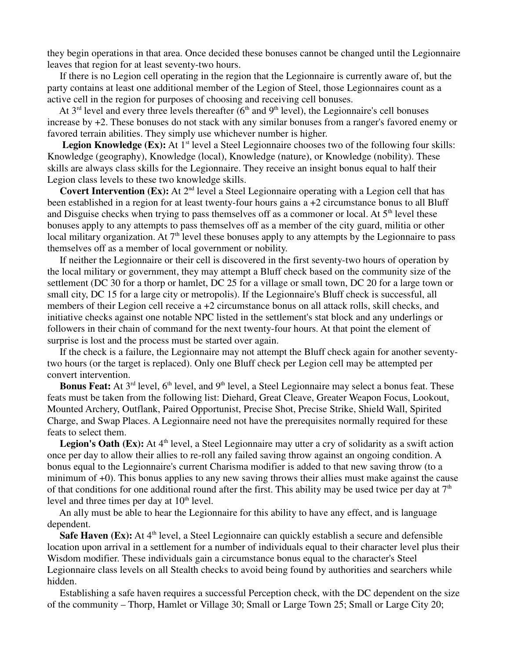they begin operations in that area. Once decided these bonuses cannot be changed until the Legionnaire leaves that region for at least seventy-two hours.

 If there is no Legion cell operating in the region that the Legionnaire is currently aware of, but the party contains at least one additional member of the Legion of Steel, those Legionnaires count as a active cell in the region for purposes of choosing and receiving cell bonuses.

At  $3<sup>rd</sup>$  level and every three levels thereafter ( $6<sup>th</sup>$  and  $9<sup>th</sup>$  level), the Legionnaire's cell bonuses increase by +2. These bonuses do not stack with any similar bonuses from a ranger's favored enemy or favored terrain abilities. They simply use whichever number is higher.

**Legion Knowledge (Ex):** At 1<sup>st</sup> level a Steel Legionnaire chooses two of the following four skills: Knowledge (geography), Knowledge (local), Knowledge (nature), or Knowledge (nobility). These skills are always class skills for the Legionnaire. They receive an insight bonus equal to half their Legion class levels to these two knowledge skills.

**Covert Intervention (Ex):** At 2<sup>nd</sup> level a Steel Legionnaire operating with a Legion cell that has been established in a region for at least twenty-four hours gains a +2 circumstance bonus to all Bluff and Disguise checks when trying to pass themselves off as a commoner or local. At 5<sup>th</sup> level these bonuses apply to any attempts to pass themselves off as a member of the city guard, militia or other local military organization. At  $7<sup>th</sup>$  level these bonuses apply to any attempts by the Legionnaire to pass themselves off as a member of local government or nobility.

 If neither the Legionnaire or their cell is discovered in the first seventy-two hours of operation by the local military or government, they may attempt a Bluff check based on the community size of the settlement (DC 30 for a thorp or hamlet, DC 25 for a village or small town, DC 20 for a large town or small city, DC 15 for a large city or metropolis). If the Legionnaire's Bluff check is successful, all members of their Legion cell receive a +2 circumstance bonus on all attack rolls, skill checks, and initiative checks against one notable NPC listed in the settlement's stat block and any underlings or followers in their chain of command for the next twenty-four hours. At that point the element of surprise is lost and the process must be started over again.

 If the check is a failure, the Legionnaire may not attempt the Bluff check again for another seventytwo hours (or the target is replaced). Only one Bluff check per Legion cell may be attempted per convert intervention.

**Bonus Feat:** At 3<sup>rd</sup> level, 6<sup>th</sup> level, and 9<sup>th</sup> level, a Steel Legionnaire may select a bonus feat. These feats must be taken from the following list: Diehard, Great Cleave, Greater Weapon Focus, Lookout, Mounted Archery, Outflank, Paired Opportunist, Precise Shot, Precise Strike, Shield Wall, Spirited Charge, and Swap Places. A Legionnaire need not have the prerequisites normally required for these feats to select them.

Legion's Oath (Ex): At 4<sup>th</sup> level, a Steel Legionnaire may utter a cry of solidarity as a swift action once per day to allow their allies to re-roll any failed saving throw against an ongoing condition. A bonus equal to the Legionnaire's current Charisma modifier is added to that new saving throw (to a minimum of +0). This bonus applies to any new saving throws their allies must make against the cause of that conditions for one additional round after the first. This ability may be used twice per day at  $7<sup>th</sup>$ level and three times per day at  $10<sup>th</sup>$  level.

 An ally must be able to hear the Legionnaire for this ability to have any effect, and is language dependent.

**Safe Haven (Ex):** At 4<sup>th</sup> level, a Steel Legionnaire can quickly establish a secure and defensible location upon arrival in a settlement for a number of individuals equal to their character level plus their Wisdom modifier. These individuals gain a circumstance bonus equal to the character's Steel Legionnaire class levels on all Stealth checks to avoid being found by authorities and searchers while hidden.

 Establishing a safe haven requires a successful Perception check, with the DC dependent on the size of the community – Thorp, Hamlet or Village 30; Small or Large Town 25; Small or Large City 20;